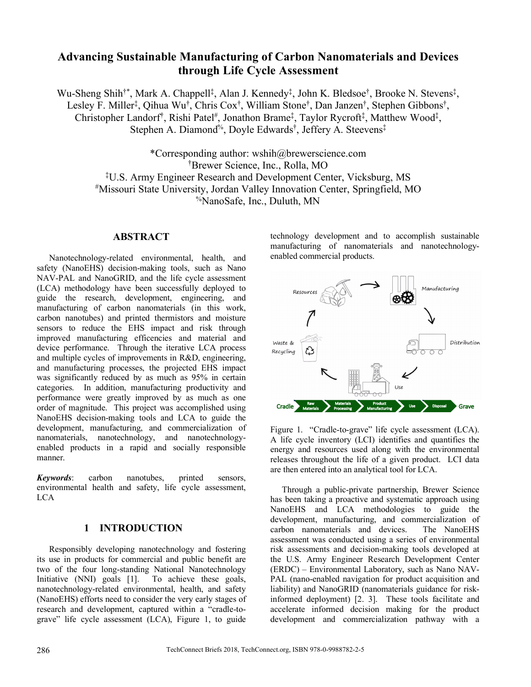# **Advancing Sustainable Manufacturing of Carbon Nanomaterials and Devices through Life Cycle Assessment**

Wu-Sheng Shih<sup>†\*</sup>, Mark A. Chappell<sup>‡</sup>, Alan J. Kennedy<sup>‡</sup>, John K. Bledsoe<sup>†</sup>, Brooke N. Stevens<sup>‡</sup>, Lesley F. Miller<sup>‡</sup>, Qihua Wu<sup>†</sup>, Chris Cox<sup>†</sup>, William Stone<sup>†</sup>, Dan Janzen<sup>†</sup>, Stephen Gibbons<sup>†</sup>, Christopher Landorf<sup>†</sup>, Rishi Patel<sup>#</sup>, Jonathon Brame<sup>‡</sup>, Taylor Rycroft<sup>‡</sup>, Matthew Wood<sup>‡</sup>, Stephen A. Diamond<sup>%</sup>, Doyle Edwards<sup>†</sup>, Jeffery A. Steevens<sup>‡</sup>

\*Corresponding author: wshih@brewerscience.com † Brewer Science, Inc., Rolla, MO ‡ U.S. Army Engineer Research and Development Center, Vicksburg, MS #Missouri State University, Jordan Valley Innovation Center, Springfield, MO %NanoSafe, Inc., Duluth, MN

### **ABSTRACT**

Nanotechnology-related environmental, health, and safety (NanoEHS) decision-making tools, such as Nano NAV-PAL and NanoGRID, and the life cycle assessment (LCA) methodology have been successfully deployed to guide the research, development, engineering, and manufacturing of carbon nanomaterials (in this work, carbon nanotubes) and printed thermistors and moisture sensors to reduce the EHS impact and risk through improved manufacturing efficencies and material and device performance. Through the iterative LCA process and multiple cycles of improvements in R&D, engineering, and manufacturing processes, the projected EHS impact was significantly reduced by as much as 95% in certain categories. In addition, manufacturing productivity and performance were greatly improved by as much as one order of magnitude. This project was accomplished using NanoEHS decision-making tools and LCA to guide the development, manufacturing, and commercialization of nanomaterials, nanotechnology, and nanotechnologyenabled products in a rapid and socially responsible manner.

*Keywords*: carbon nanotubes, printed sensors, environmental health and safety, life cycle assessment, LCA

#### **1 INTRODUCTION**

Responsibly developing nanotechnology and fostering its use in products for commercial and public benefit are two of the four long-standing National Nanotechnology Initiative (NNI) goals [1]. To achieve these goals, nanotechnology-related environmental, health, and safety (NanoEHS) efforts need to consider the very early stages of research and development, captured within a "cradle-tograve" life cycle assessment (LCA), Figure 1, to guide technology development and to accomplish sustainable manufacturing of nanomaterials and nanotechnologyenabled commercial products.



Figure 1. "Cradle-to-grave" life cycle assessment (LCA). A life cycle inventory (LCI) identifies and quantifies the energy and resources used along with the environmental releases throughout the life of a given product. LCI data are then entered into an analytical tool for LCA.

Through a public-private partnership, Brewer Science has been taking a proactive and systematic approach using NanoEHS and LCA methodologies to guide the development, manufacturing, and commercialization of carbon nanomaterials and devices. The NanoEHS assessment was conducted using a series of environmental risk assessments and decision-making tools developed at the U.S. Army Engineer Research Development Center (ERDC) – Environmental Laboratory, such as Nano NAV-PAL (nano-enabled navigation for product acquisition and liability) and NanoGRID (nanomaterials guidance for riskinformed deployment) [2. 3]. These tools facilitate and accelerate informed decision making for the product development and commercialization pathway with a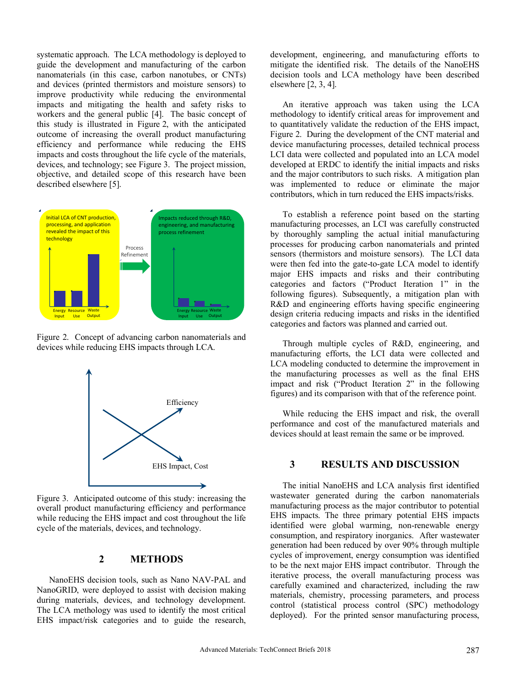systematic approach. The LCA methodology is deployed to guide the development and manufacturing of the carbon nanomaterials (in this case, carbon nanotubes, or CNTs) and devices (printed thermistors and moisture sensors) to improve productivity while reducing the environmental impacts and mitigating the health and safety risks to workers and the general public [4]. The basic concept of this study is illustrated in Figure 2, with the anticipated outcome of increasing the overall product manufacturing efficiency and performance while reducing the EHS impacts and costs throughout the life cycle of the materials, devices, and technology; see Figure 3. The project mission, objective, and detailed scope of this research have been described elsewhere [5].



Figure 2. Concept of advancing carbon nanomaterials and devices while reducing EHS impacts through LCA.



Figure 3. Anticipated outcome of this study: increasing the overall product manufacturing efficiency and performance while reducing the EHS impact and cost throughout the life cycle of the materials, devices, and technology.

### **2 METHODS**

NanoEHS decision tools, such as Nano NAV-PAL and NanoGRID, were deployed to assist with decision making during materials, devices, and technology development. The LCA methology was used to identify the most critical EHS impact/risk categories and to guide the research,

development, engineering, and manufacturing efforts to mitigate the identified risk. The details of the NanoEHS decision tools and LCA methology have been described elsewhere [2, 3, 4].

An iterative approach was taken using the LCA methodology to identify critical areas for improvement and to quantitatively validate the reduction of the EHS impact, Figure 2. During the development of the CNT material and device manufacturing processes, detailed technical process LCI data were collected and populated into an LCA model developed at ERDC to identify the initial impacts and risks and the major contributors to such risks. A mitigation plan was implemented to reduce or eliminate the major contributors, which in turn reduced the EHS impacts/risks.

To establish a reference point based on the starting manufacturing processes, an LCI was carefully constructed by thoroughly sampling the actual initial manufacturing processes for producing carbon nanomaterials and printed sensors (thermistors and moisture sensors). The LCI data were then fed into the gate-to-gate LCA model to identify major EHS impacts and risks and their contributing categories and factors ("Product Iteration 1" in the following figures). Subsequently, a mitigation plan with R&D and engineering efforts having specific engineering design criteria reducing impacts and risks in the identified categories and factors was planned and carried out.

Through multiple cycles of R&D, engineering, and manufacturing efforts, the LCI data were collected and LCA modeling conducted to determine the improvement in the manufacturing processes as well as the final EHS impact and risk ("Product Iteration 2" in the following figures) and its comparison with that of the reference point.

While reducing the EHS impact and risk, the overall performance and cost of the manufactured materials and devices should at least remain the same or be improved.

# **3 RESULTS AND DISCUSSION**

The initial NanoEHS and LCA analysis first identified wastewater generated during the carbon nanomaterials manufacturing process as the major contributor to potential EHS impacts. The three primary potential EHS impacts identified were global warming, non-renewable energy consumption, and respiratory inorganics. After wastewater generation had been reduced by over 90% through multiple cycles of improvement, energy consumption was identified to be the next major EHS impact contributor. Through the iterative process, the overall manufacturing process was carefully examined and characterized, including the raw materials, chemistry, processing parameters, and process control (statistical process control (SPC) methodology deployed). For the printed sensor manufacturing process,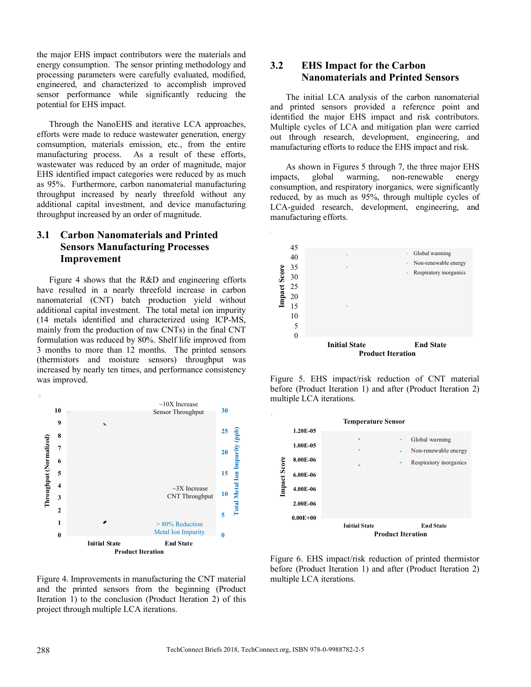the major EHS impact contributors were the materials and energy consumption. The sensor printing methodology and processing parameters were carefully evaluated, modified, engineered, and characterized to accomplish improved sensor performance while significantly reducing the potential for EHS impact.

Through the NanoEHS and iterative LCA approaches, efforts were made to reduce wastewater generation, energy comsumption, materials emission, etc., from the entire manufacturing process. As a result of these efforts, wastewater was reduced by an order of magnitude, major EHS identified impact categories were reduced by as much as 95%. Furthermore, carbon nanomaterial manufacturing throughput increased by nearly threefold without any additional capital investment, and device manufacturing throughput increased by an order of magnitude.

# **3.1 Carbon Nanomaterials and Printed Sensors Manufacturing Processes Improvement**

Figure 4 shows that the R&D and engineering efforts have resulted in a nearly threefold increase in carbon nanomaterial (CNT) batch production yield without additional capital investment. The total metal ion impurity (14 metals identified and characterized using ICP-MS, mainly from the production of raw CNTs) in the final CNT formulation was reduced by 80%. Shelf life improved from 3 months to more than 12 months. The printed sensors (thermistors and moisture sensors) throughput was increased by nearly ten times, and performance consistency was improved.



Figure 4. Improvements in manufacturing the CNT material and the printed sensors from the beginning (Product Iteration 1) to the conclusion (Product Iteration 2) of this project through multiple LCA iterations.

### **3.2 EHS Impact for the Carbon Nanomaterials and Printed Sensors**

The initial LCA analysis of the carbon nanomaterial and printed sensors provided a reference point and identified the major EHS impact and risk contributors. Multiple cycles of LCA and mitigation plan were carried out through research, development, engineering, and manufacturing efforts to reduce the EHS impact and risk.

As shown in Figures 5 through 7, the three major EHS impacts, global warming, non-renewable energy consumption, and respiratory inorganics, were significantly reduced, by as much as 95%, through multiple cycles of LCA-guided research, development, engineering, and manufacturing efforts.



Figure 5. EHS impact/risk reduction of CNT material before (Product Iteration 1) and after (Product Iteration 2) multiple LCA iterations.



Figure 6. EHS impact/risk reduction of printed thermistor before (Product Iteration 1) and after (Product Iteration 2) multiple LCA iterations.